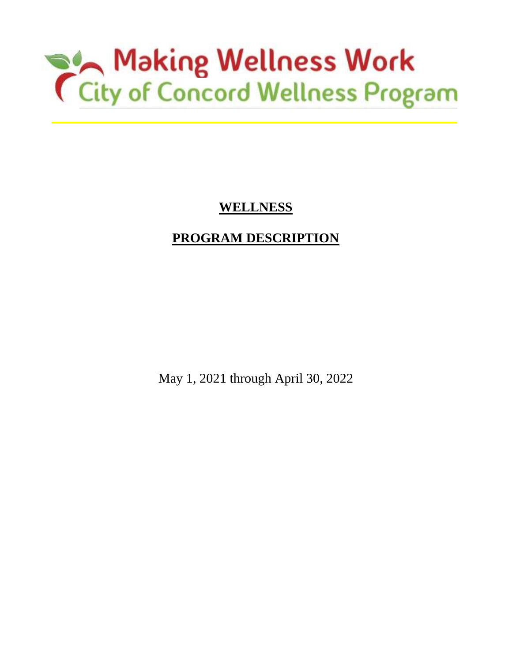# Making Wellness Work<br>
City of Concord Wellness Program

# **WELLNESS**

# **PROGRAM DESCRIPTION**

May 1, 2021 through April 30, 2022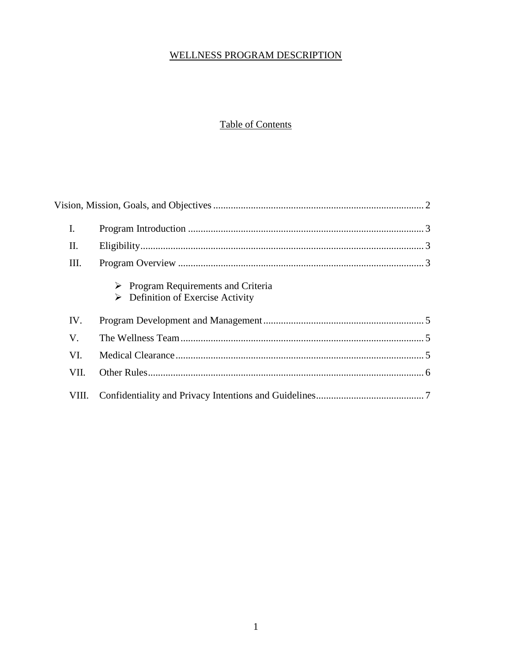#### WELLNESS PROGRAM DESCRIPTION

## **Table of Contents**

| I.    |                                                                                       |
|-------|---------------------------------------------------------------------------------------|
| Π.    |                                                                                       |
| Ш.    |                                                                                       |
|       | Program Requirements and Criteria<br>$\triangleright$ Definition of Exercise Activity |
| IV.   |                                                                                       |
| V.    |                                                                                       |
| VI.   |                                                                                       |
| VII.  |                                                                                       |
| VIII. |                                                                                       |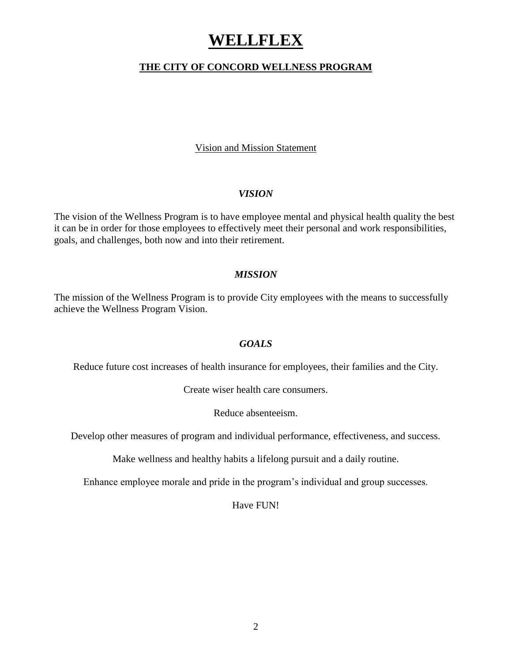## **WELLFLEX**

#### **THE CITY OF CONCORD WELLNESS PROGRAM**

Vision and Mission Statement

#### *VISION*

The vision of the Wellness Program is to have employee mental and physical health quality the best it can be in order for those employees to effectively meet their personal and work responsibilities, goals, and challenges, both now and into their retirement.

#### *MISSION*

The mission of the Wellness Program is to provide City employees with the means to successfully achieve the Wellness Program Vision.

#### *GOALS*

Reduce future cost increases of health insurance for employees, their families and the City.

Create wiser health care consumers.

Reduce absenteeism.

Develop other measures of program and individual performance, effectiveness, and success.

Make wellness and healthy habits a lifelong pursuit and a daily routine.

Enhance employee morale and pride in the program's individual and group successes.

Have FUN!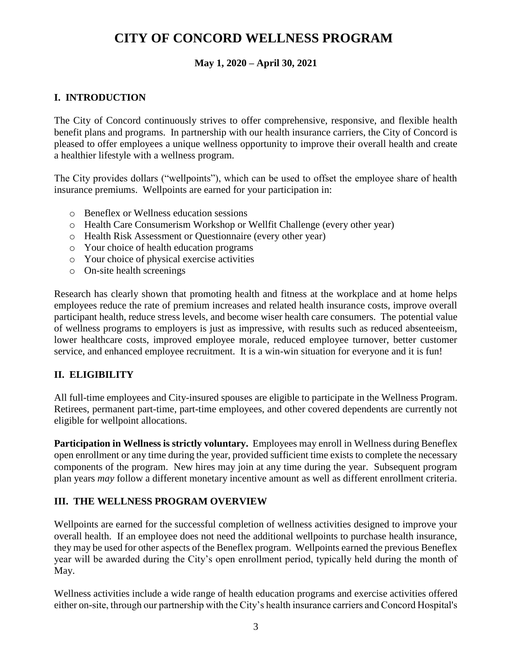## **CITY OF CONCORD WELLNESS PROGRAM**

#### **May 1, 2020 – April 30, 2021**

## **I. INTRODUCTION**

The City of Concord continuously strives to offer comprehensive, responsive, and flexible health benefit plans and programs. In partnership with our health insurance carriers, the City of Concord is pleased to offer employees a unique wellness opportunity to improve their overall health and create a healthier lifestyle with a wellness program.

The City provides dollars ("wellpoints"), which can be used to offset the employee share of health insurance premiums. Wellpoints are earned for your participation in:

- o Beneflex or Wellness education sessions
- o Health Care Consumerism Workshop or Wellfit Challenge (every other year)
- o Health Risk Assessment or Questionnaire (every other year)
- o Your choice of health education programs
- o Your choice of physical exercise activities
- o On-site health screenings

Research has clearly shown that promoting health and fitness at the workplace and at home helps employees reduce the rate of premium increases and related health insurance costs, improve overall participant health, reduce stress levels, and become wiser health care consumers. The potential value of wellness programs to employers is just as impressive, with results such as reduced absenteeism, lower healthcare costs, improved employee morale, reduced employee turnover, better customer service, and enhanced employee recruitment. It is a win-win situation for everyone and it is fun!

#### **II. ELIGIBILITY**

All full-time employees and City-insured spouses are eligible to participate in the Wellness Program. Retirees, permanent part-time, part-time employees, and other covered dependents are currently not eligible for wellpoint allocations.

**Participation in Wellness is strictly voluntary.** Employees may enroll in Wellness during Beneflex open enrollment or any time during the year, provided sufficient time exists to complete the necessary components of the program. New hires may join at any time during the year. Subsequent program plan years *may* follow a different monetary incentive amount as well as different enrollment criteria.

#### **III. THE WELLNESS PROGRAM OVERVIEW**

Wellpoints are earned for the successful completion of wellness activities designed to improve your overall health. If an employee does not need the additional wellpoints to purchase health insurance, they may be used for other aspects of the Beneflex program. Wellpoints earned the previous Beneflex year will be awarded during the City's open enrollment period, typically held during the month of May.

Wellness activities include a wide range of health education programs and exercise activities offered either on-site, through our partnership with the City's health insurance carriers and Concord Hospital's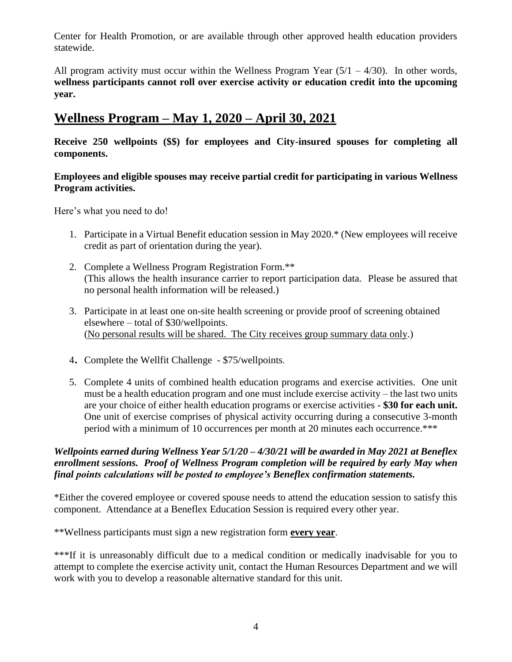Center for Health Promotion, or are available through other approved health education providers statewide.

All program activity must occur within the Wellness Program Year  $(5/1 - 4/30)$ . In other words, **wellness participants cannot roll over exercise activity or education credit into the upcoming year.** 

## **Wellness Program – May 1, 2020 – April 30, 2021**

**Receive 250 wellpoints (\$\$) for employees and City-insured spouses for completing all components.** 

#### **Employees and eligible spouses may receive partial credit for participating in various Wellness Program activities.**

Here's what you need to do!

- 1. Participate in a Virtual Benefit education session in May 2020.\* (New employees will receive credit as part of orientation during the year).
- 2. Complete a Wellness Program Registration Form.\*\* (This allows the health insurance carrier to report participation data. Please be assured that no personal health information will be released.)
- 3. Participate in at least one on-site health screening or provide proof of screening obtained elsewhere – total of \$30/wellpoints. (No personal results will be shared. The City receives group summary data only.)
- <sup>4</sup>. Complete the Wellfit Challenge \$75/wellpoints.
- 5. Complete 4 units of combined health education programs and exercise activities. One unit must be a health education program and one must include exercise activity – the last two units are your choice of either health education programs or exercise activities - **\$30 for each unit.**  One unit of exercise comprises of physical activity occurring during a consecutive 3-month period with a minimum of 10 occurrences per month at 20 minutes each occurrence.\*\*\*

#### *Wellpoints earned during Wellness Year 5/1/20 – 4/30/21 will be awarded in May 2021 at Beneflex enrollment sessions. Proof of Wellness Program completion will be required by early May when final points calculations will be posted to employee's Beneflex confirmation statements.*

\*Either the covered employee or covered spouse needs to attend the education session to satisfy this component. Attendance at a Beneflex Education Session is required every other year.

\*\*Wellness participants must sign a new registration form **every year**.

\*\*\*If it is unreasonably difficult due to a medical condition or medically inadvisable for you to attempt to complete the exercise activity unit, contact the Human Resources Department and we will work with you to develop a reasonable alternative standard for this unit.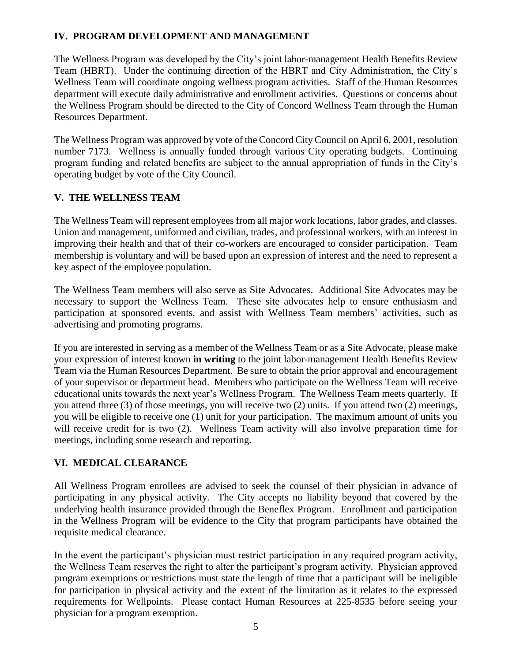## **IV. PROGRAM DEVELOPMENT AND MANAGEMENT**

The Wellness Program was developed by the City's joint labor-management Health Benefits Review Team (HBRT). Under the continuing direction of the HBRT and City Administration, the City's Wellness Team will coordinate ongoing wellness program activities. Staff of the Human Resources department will execute daily administrative and enrollment activities. Questions or concerns about the Wellness Program should be directed to the City of Concord Wellness Team through the Human Resources Department.

The Wellness Program was approved by vote of the Concord City Council on April 6, 2001, resolution number 7173. Wellness is annually funded through various City operating budgets. Continuing program funding and related benefits are subject to the annual appropriation of funds in the City's operating budget by vote of the City Council.

#### **V. THE WELLNESS TEAM**

The Wellness Team will represent employees from all major work locations, labor grades, and classes. Union and management, uniformed and civilian, trades, and professional workers, with an interest in improving their health and that of their co-workers are encouraged to consider participation. Team membership is voluntary and will be based upon an expression of interest and the need to represent a key aspect of the employee population.

The Wellness Team members will also serve as Site Advocates. Additional Site Advocates may be necessary to support the Wellness Team. These site advocates help to ensure enthusiasm and participation at sponsored events, and assist with Wellness Team members' activities, such as advertising and promoting programs.

If you are interested in serving as a member of the Wellness Team or as a Site Advocate, please make your expression of interest known **in writing** to the joint labor-management Health Benefits Review Team via the Human Resources Department. Be sure to obtain the prior approval and encouragement of your supervisor or department head. Members who participate on the Wellness Team will receive educational units towards the next year's Wellness Program. The Wellness Team meets quarterly. If you attend three (3) of those meetings, you will receive two (2) units. If you attend two (2) meetings, you will be eligible to receive one (1) unit for your participation. The maximum amount of units you will receive credit for is two (2). Wellness Team activity will also involve preparation time for meetings, including some research and reporting.

#### **VI. MEDICAL CLEARANCE**

All Wellness Program enrollees are advised to seek the counsel of their physician in advance of participating in any physical activity. The City accepts no liability beyond that covered by the underlying health insurance provided through the Beneflex Program. Enrollment and participation in the Wellness Program will be evidence to the City that program participants have obtained the requisite medical clearance.

In the event the participant's physician must restrict participation in any required program activity, the Wellness Team reserves the right to alter the participant's program activity. Physician approved program exemptions or restrictions must state the length of time that a participant will be ineligible for participation in physical activity and the extent of the limitation as it relates to the expressed requirements for Wellpoints. Please contact Human Resources at 225-8535 before seeing your physician for a program exemption.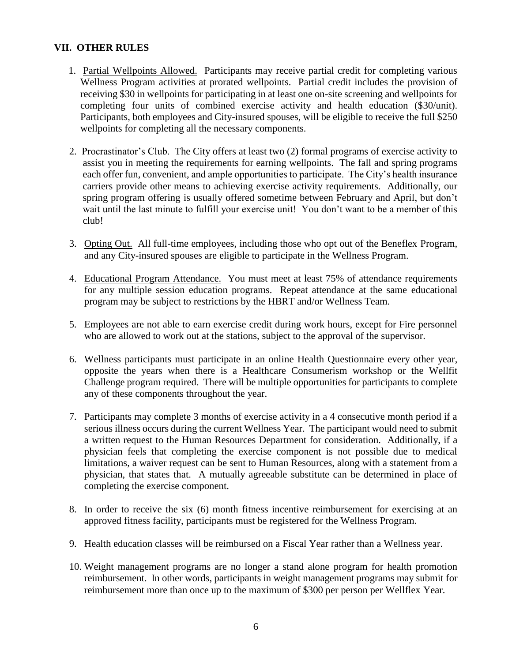#### **VII. OTHER RULES**

- 1. Partial Wellpoints Allowed. Participants may receive partial credit for completing various Wellness Program activities at prorated wellpoints. Partial credit includes the provision of receiving \$30 in wellpoints for participating in at least one on-site screening and wellpoints for completing four units of combined exercise activity and health education (\$30/unit). Participants, both employees and City-insured spouses, will be eligible to receive the full \$250 wellpoints for completing all the necessary components.
- 2. Procrastinator's Club. The City offers at least two (2) formal programs of exercise activity to assist you in meeting the requirements for earning wellpoints. The fall and spring programs each offer fun, convenient, and ample opportunities to participate. The City's health insurance carriers provide other means to achieving exercise activity requirements. Additionally, our spring program offering is usually offered sometime between February and April, but don't wait until the last minute to fulfill your exercise unit! You don't want to be a member of this club!
- 3. Opting Out. All full-time employees, including those who opt out of the Beneflex Program, and any City-insured spouses are eligible to participate in the Wellness Program.
- 4. Educational Program Attendance. You must meet at least 75% of attendance requirements for any multiple session education programs. Repeat attendance at the same educational program may be subject to restrictions by the HBRT and/or Wellness Team.
- 5. Employees are not able to earn exercise credit during work hours, except for Fire personnel who are allowed to work out at the stations, subject to the approval of the supervisor.
- 6. Wellness participants must participate in an online Health Questionnaire every other year, opposite the years when there is a Healthcare Consumerism workshop or the Wellfit Challenge program required. There will be multiple opportunities for participants to complete any of these components throughout the year.
- 7. Participants may complete 3 months of exercise activity in a 4 consecutive month period if a serious illness occurs during the current Wellness Year. The participant would need to submit a written request to the Human Resources Department for consideration. Additionally, if a physician feels that completing the exercise component is not possible due to medical limitations, a waiver request can be sent to Human Resources, along with a statement from a physician, that states that. A mutually agreeable substitute can be determined in place of completing the exercise component.
- 8. In order to receive the six (6) month fitness incentive reimbursement for exercising at an approved fitness facility, participants must be registered for the Wellness Program.
- 9. Health education classes will be reimbursed on a Fiscal Year rather than a Wellness year.
- 10. Weight management programs are no longer a stand alone program for health promotion reimbursement. In other words, participants in weight management programs may submit for reimbursement more than once up to the maximum of \$300 per person per Wellflex Year.